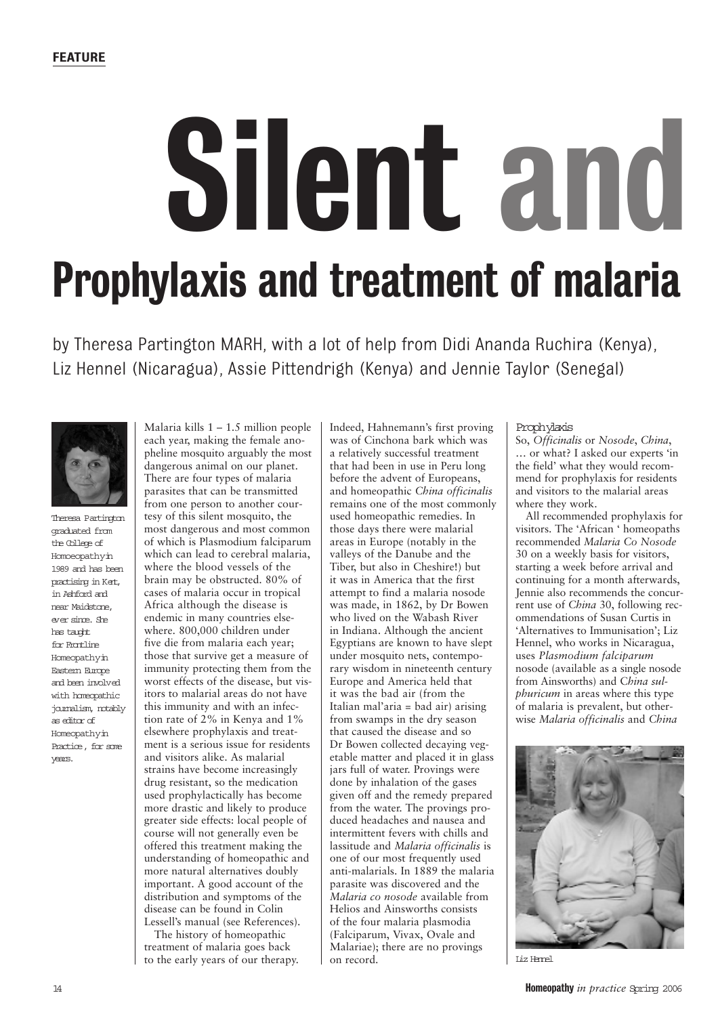# Silent and Prophylaxis and treatment of malaria

by Theresa Partington MARH, with a lot of help from Didi Ananda Ruchira (Kenya), Liz Hennel (Nicaragua), Assie Pittendrigh (Kenya) and Jennie Taylor (Senegal)



Theresa Partington graduated from the College of Homoeopathyin 1989 and has been practising in Kert, in Ashford and near Maidstone, ever since. She has taught for Frontline Homeopathyin Eastern Europe and been involved with homeopathic journalism, notably as editor of Homeopathyin Practice, for some years.

Malaria kills  $1 - 1.5$  million people each year, making the female anopheline mosquito arguably the most dangerous animal on our planet. There are four types of malaria parasites that can be transmitted from one person to another courtesy of this silent mosquito, the most dangerous and most common of which is Plasmodium falciparum which can lead to cerebral malaria, where the blood vessels of the brain may be obstructed. 80% of cases of malaria occur in tropical Africa although the disease is endemic in many countries elsewhere. 800,000 children under five die from malaria each year; those that survive get a measure of immunity protecting them from the worst effects of the disease, but visitors to malarial areas do not have this immunity and with an infection rate of 2% in Kenya and 1% elsewhere prophylaxis and treatment is a serious issue for residents and visitors alike. As malarial strains have become increasingly drug resistant, so the medication used prophylactically has become more drastic and likely to produce greater side effects: local people of course will not generally even be offered this treatment making the understanding of homeopathic and more natural alternatives doubly important. A good account of the distribution and symptoms of the disease can be found in Colin Lessell's manual (see References).

The history of homeopathic treatment of malaria goes back to the early years of our therapy.

Indeed, Hahnemann's first proving was of Cinchona bark which was a relatively successful treatment that had been in use in Peru long before the advent of Europeans, and homeopathic *China officinalis* remains one of the most commonly used homeopathic remedies. In those days there were malarial areas in Europe (notably in the valleys of the Danube and the Tiber, but also in Cheshire!) but it was in America that the first attempt to find a malaria nosode was made, in 1862, by Dr Bowen who lived on the Wabash River in Indiana. Although the ancient Egyptians are known to have slept under mosquito nets, contemporary wisdom in nineteenth century Europe and America held that it was the bad air (from the Italian mal'aria = bad air) arising from swamps in the dry season that caused the disease and so Dr Bowen collected decaying vegetable matter and placed it in glass jars full of water. Provings were done by inhalation of the gases given off and the remedy prepared from the water. The provings produced headaches and nausea and intermittent fevers with chills and lassitude and *Malaria officinalis* is one of our most frequently used anti-malarials. In 1889 the malaria parasite was discovered and the *Malaria co nosode* available from Helios and Ainsworths consists of the four malaria plasmodia (Falciparum, Vivax, Ovale and Malariae); there are no provings on record.

#### Prophylaxis

So, *Officinalis* or *Nosode*, *China*, … or what? I asked our experts 'in the field' what they would recommend for prophylaxis for residents and visitors to the malarial areas where they work.

All recommended prophylaxis for visitors. The 'African ' homeopaths recommended *Malaria Co Nosode* 30 on a weekly basis for visitors, starting a week before arrival and continuing for a month afterwards, Jennie also recommends the concurrent use of *China* 30, following recommendations of Susan Curtis in 'Alternatives to Immunisation'; Liz Hennel, who works in Nicaragua, uses *Plasmodium falciparum* nosode (available as a single nosode from Ainsworths) and C*hina sulphuricum* in areas where this type of malaria is prevalent, but otherwise *Malaria officinalis* and *China*



Liz Hennel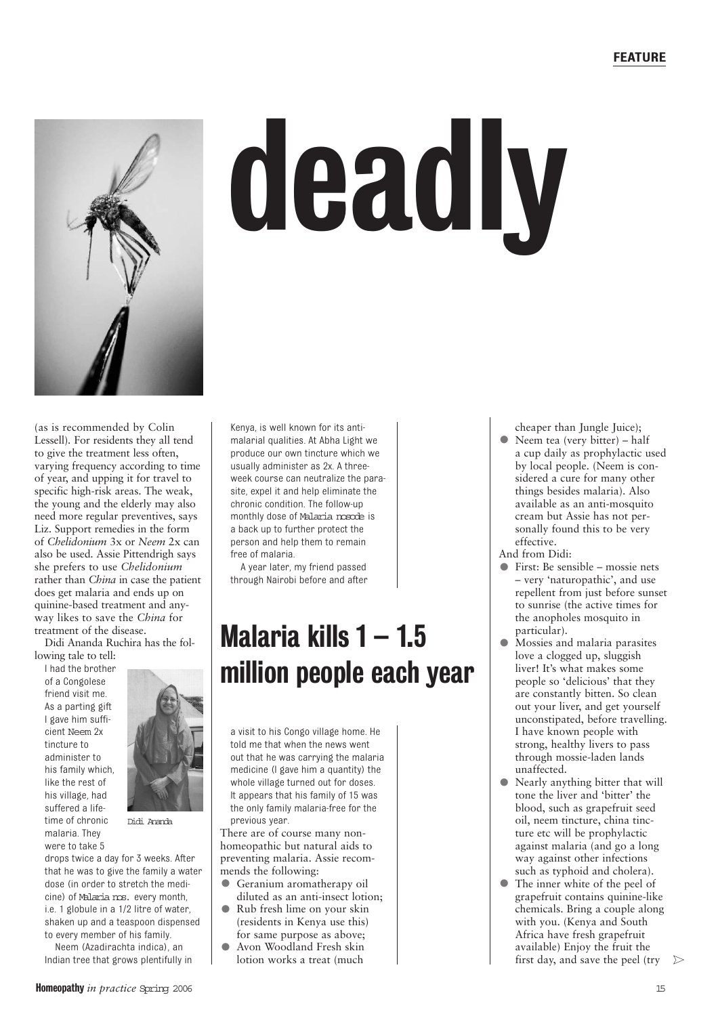

# deadly

(as is recommended by Colin Lessell)*.* For residents they all tend to give the treatment less often, varying frequency according to time of year, and upping it for travel to specific high-risk areas. The weak, the young and the elderly may also need more regular preventives, says Liz. Support remedies in the form of *Chelidonium* 3x or *Neem* 2x can also be used. Assie Pittendrigh says she prefers to use *Chelidonium* rather than *China* in case the patient does get malaria and ends up on quinine-based treatment and anyway likes to save the *China* for treatment of the disease.

Didi Ananda Ruchira has the following tale to tell:

I had the brother of a Congolese friend visit me. As a parting gift I gave him sufficient Neem 2x tincture to administer to his family which, like the rest of his village, had suffered a lifetime of chronic malaria. They were to take 5



Didi Ananda

drops twice a day for 3 weeks. After that he was to give the family a water dose (in order to stretch the medicine) of Malaria nos. every month, i.e. 1 globule in a 1/2 litre of water, shaken up and a teaspoon dispensed to every member of his family.

Neem (Azadirachta indica), an Indian tree that grows plentifully in malarial qualities. At Abha Light we produce our own tincture which we usually administer as 2x. A threeweek course can neutralize the parasite, expel it and help eliminate the chronic condition. The follow-up monthly dose of Malaria nosode is a back up to further protect the person and help them to remain free of malaria. A year later, my friend passed

Kenya, is well known for its anti-

through Nairobi before and after

### Malaria kills 1 – 1.5 million people each year

a visit to his Congo village home. He told me that when the news went out that he was carrying the malaria medicine (I gave him a quantity) the whole village turned out for doses. It appears that his family of 15 was the only family malaria-free for the previous year.

There are of course many nonhomeopathic but natural aids to preventing malaria. Assie recommends the following:

- Geranium aromatherapy oil diluted as an anti-insect lotion;
- Rub fresh lime on your skin (residents in Kenya use this) for same purpose as above;
- Avon Woodland Fresh skin lotion works a treat (much

cheaper than Jungle Juice);

- Neem tea (very bitter) half a cup daily as prophylactic used by local people. (Neem is considered a cure for many other things besides malaria). Also available as an anti-mosquito cream but Assie has not personally found this to be very effective.
- And from Didi:
- First: Be sensible mossie nets – very 'naturopathic', and use repellent from just before sunset to sunrise (the active times for the anopholes mosquito in particular).
- Mossies and malaria parasites love a clogged up, sluggish liver! It's what makes some people so 'delicious' that they are constantly bitten. So clean out your liver, and get yourself unconstipated, before travelling. I have known people with strong, healthy livers to pass through mossie-laden lands unaffected.
- Nearly anything bitter that will tone the liver and 'bitter' the blood, such as grapefruit seed oil, neem tincture, china tincture etc will be prophylactic against malaria (and go a long way against other infections such as typhoid and cholera).
- The inner white of the peel of grapefruit contains quinine-like chemicals. Bring a couple along with you. (Kenya and South Africa have fresh grapefruit available) Enjoy the fruit the first day, and save the peel (try  $\triangleright$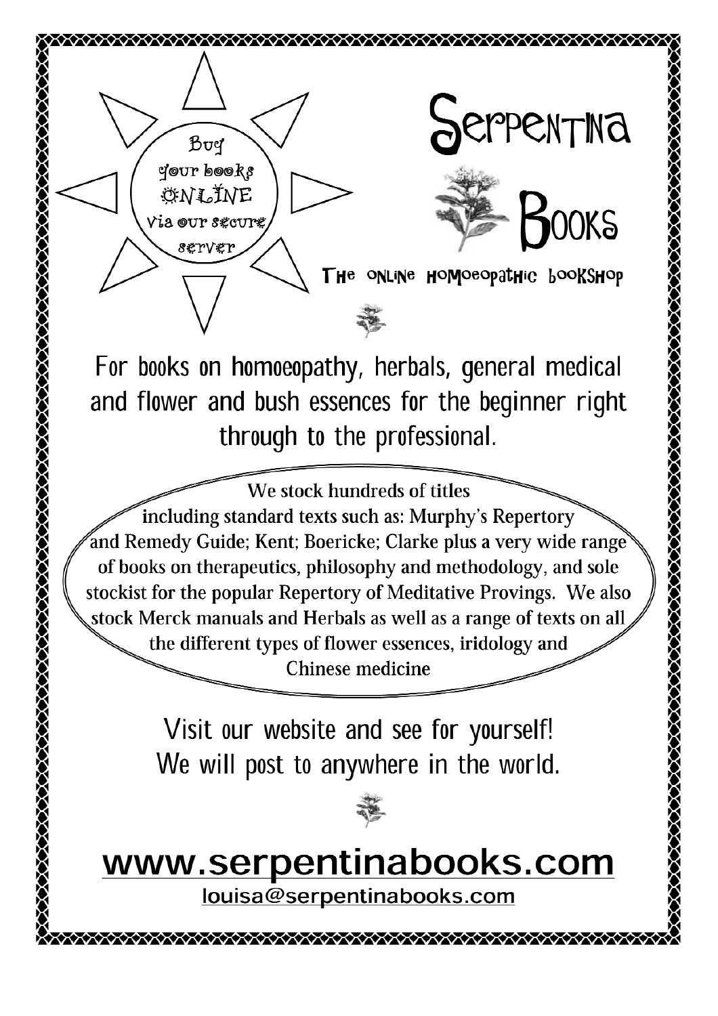

For books on homoeopathy, herbals, general medical and flower and bush essences for the beginner right through to the professional.

We stock hundreds of titles including standard texts such as: Murphy's Repertory and Remedy Guide; Kent; Boericke; Clarke plus a very wide range of books on therapeutics, philosophy and methodology, and sole stockist for the popular Repertory of Meditative Provings. We also stock Merck manuals and Herbals as well as a range of texts on all the different types of flower essences, iridology and Chinese medicine

> Visit our website and see for yourself! We will post to anywhere in the world.

## www.serpentinabooks.com

louisa@serpentinabooks.com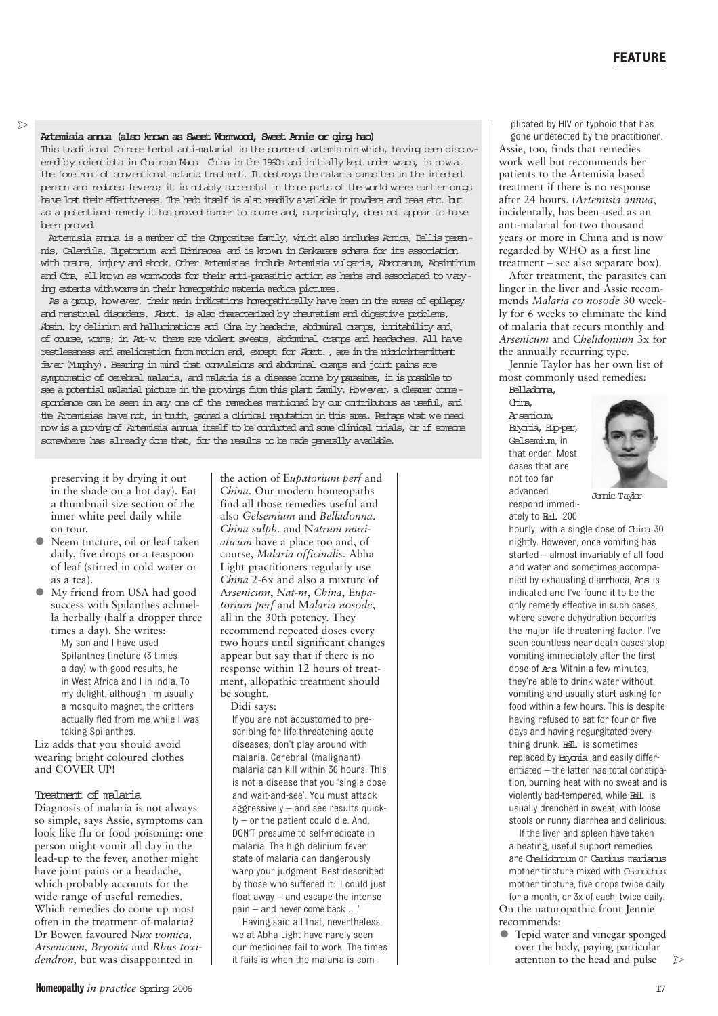#### Artemisia annua (also known as Sweet Wormwood, Sweet Annie or qing hao)

This traditional Chinese herbal anti-malarial is the source of artemisinin which, having been discovered by scientists in Chairman Maos China in the 1960s and initially kept under wraps, is now at the forefront of conventional malaria treatment. It destroys the malaria parasites in the infected person and reduces fevers; it is notably successful in those parts of the world where earlier drugs have lost their effectiveness. The herb itself is also readily available in powders and teas etc. but as a potentised remedy it has proved harder to source and, surprisingly, does not appear to have been proved.

Artemisia annua is a member of the Compositae family, which also includes Arnica, Bellis perennis, Calendula, Eupatorium and Echinacea and is known in Sankarans schema for its association with trauma, injury and shock. Other Artemisias include Artemisia vulgaris, Abrotanum, Absinthium and Cina, all known as wormwoods for their anti-parasitic action as herbs and associated to varying extents with worms in their homeopathic materia medica pictures.

As a group, however, their main indications homeopathically have been in the areas of epilepsy and menstrual disorders. Abrot. is also characterized by rheumatism and digestive problems, Absin. by delirium and hallucinations and Cina by headache, abdominal cramps, irritability and, of course, worms; in Art-v. there are violent sweats, abdominal cramps and headaches. All have restlessness and amelioration from motion and, except for Abrot., are in the rubric intermittent fever (Murphy). Bearing in mind that convulsions and abdominal cramps and joint pains are symptomatic of cerebral malaria, and malaria is a disease borne by parasites, it is possible to see a potential malarial picture in the provings from this plant family. However, a clearer correspondence can be seen in any one of the remedies mentioned by our contributors as useful, and the Artemisias have not, in truth, gained a clinical reputation in this area. Perhaps what we need now is a proving of Artemisia annua itself to be conducted and some clinical trials, or if someone somewhere has already done that, for the results to be made generally available.

preserving it by drying it out in the shade on a hot day). Eat a thumbnail size section of the inner white peel daily while on tour.

- Neem tincture, oil or leaf taken daily, five drops or a teaspoon of leaf (stirred in cold water or as a tea).
- My friend from USA had good success with Spilanthes achmella herbally (half a dropper three times a day). She writes:

• My son and I have used Spilanthes tincture (3 times a day) with good results, he in West Africa and I in India. To my delight, although I'm usually a mosquito magnet, the critters actually fled from me while I was taking Spilanthes.

Liz adds that you should avoid wearing bright coloured clothes and COVER UP!

#### Treatment of malaria

Diagnosis of malaria is not always so simple, says Assie, symptoms can look like flu or food poisoning: one person might vomit all day in the lead-up to the fever, another might have joint pains or a headache, which probably accounts for the wide range of useful remedies. Which remedies do come up most often in the treatment of malaria? Dr Bowen favoured N*ux vomica, Arsenicum, Bryonia* and *Rhus toxidendron,* but was disappointed in

the action of E*upatorium perf* and C*hina*. Our modern homeopaths find all those remedies useful and also *Gelsemium* and *Belladonna*. *China sulph.* and N*atrum muriaticum* have a place too and, of course, *Malaria officinalis*. Abha Light practitioners regularly use *China* 2-6x and also a mixture of A*rsenicum*, *Nat-m*, *China*, E*upatorium perf* and M*alaria nosode*, all in the 30th potency. They recommend repeated doses every two hours until significant changes appear but say that if there is no response within 12 hours of treatment, allopathic treatment should be sought.

Didi says:

If you are not accustomed to prescribing for life-threatening acute diseases, don't play around with malaria. Cerebral (malignant) malaria can kill within 36 hours. This is not a disease that you 'single dose and wait-and-see'. You must attack aggressively – and see results quickly – or the patient could die. And, DON'T presume to self-medicate in malaria. The high delirium fever state of malaria can dangerously warp your judgment. Best described by those who suffered it: 'I could just float away – and escape the intense pain – and never come back ...

Having said all that, nevertheless, we at Abha Light have rarely seen our medicines fail to work. The times it fails is when the malaria is com-

plicated by HIV or typhoid that has gone undetected by the practitioner. Assie, too, finds that remedies work well but recommends her patients to the Artemisia based treatment if there is no response after 24 hours. (*Artemisia annua*, incidentally, has been used as an anti-malarial for two thousand years or more in China and is now regarded by WHO as a first line treatment – see also separate box).

After treatment, the parasites can linger in the liver and Assie recommends *Malaria co nosode* 30 weekly for 6 weeks to eliminate the kind of malaria that recurs monthly and *Arsenicum* and C*helidonium* 3x for the annually recurring type.

Jennie Taylor has her own list of most commonly used remedies:

Belladonna, China, Arsenicum, Bryonia, Eup-per, Gelsemium, in that order. Most cases that are not too far advanced respond immedi-

ately to Bell. 200



Jennie Taylor

hourly, with a single dose of China 30 nightly. However, once vomiting has started – almost invariably of all food and water and sometimes accompanied by exhausting diarrhoea, Ars. is indicated and I've found it to be the only remedy effective in such cases, where severe dehydration becomes the major life-threatening factor. I've seen countless near-death cases stop vomiting immediately after the first dose of Ars. Within a few minutes, they're able to drink water without vomiting and usually start asking for food within a few hours. This is despite having refused to eat for four or five days and having regurgitated everything drunk. Bell. is sometimes replaced by Bryania and easily differentiated – the latter has total constipation, burning heat with no sweat and is violently bad-tempered, while Bell. is usually drenched in sweat, with loose stools or runny diarrhea and delirious.

If the liver and spleen have taken a beating, useful support remedies are Chelidonium or Carduus marianus mother tincture mixed with Ceanothus mother tincture, five drops twice daily for a month, or 3x of each, twice daily. On the naturopathic front Jennie recommends:

• Tepid water and vinegar sponged over the body, paying particular attention to the head and pulse ➤

 $\triangleright$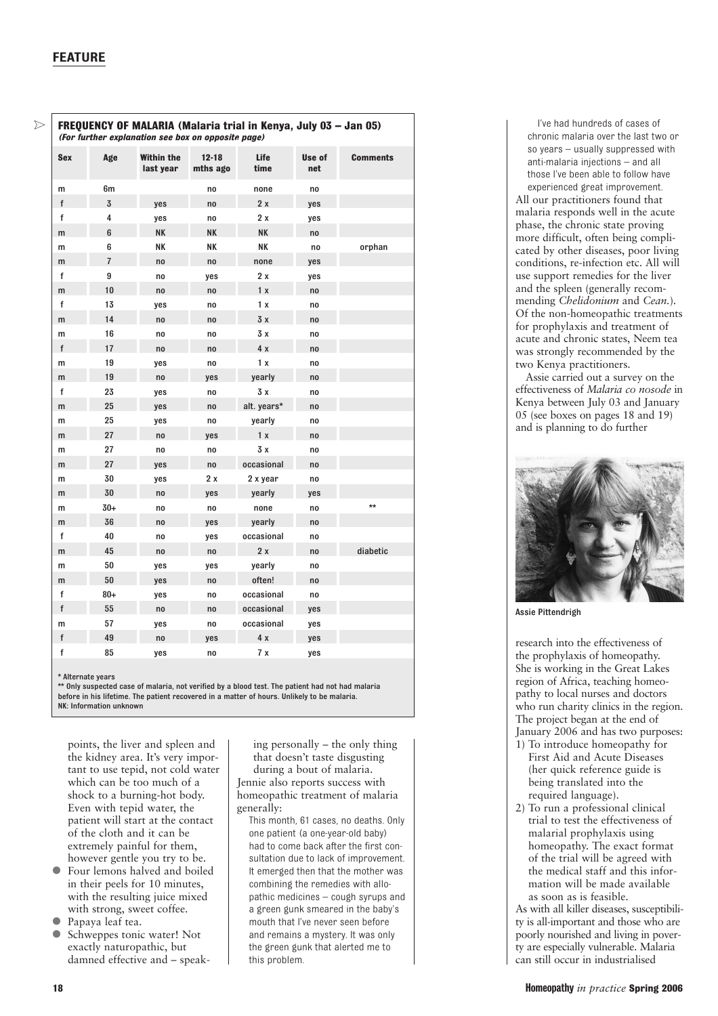$\overline{\phantom{0}}$ 

| FREQUENCY OF MALARIA (Malaria trial in Kenya, July 03 - Jan 05)<br>(For further explanation see box on opposite page) |                |                         |                       |              |               |                 |
|-----------------------------------------------------------------------------------------------------------------------|----------------|-------------------------|-----------------------|--------------|---------------|-----------------|
| <b>Sex</b>                                                                                                            | Age            | Within the<br>last year | $12 - 18$<br>mths ago | Life<br>time | Use of<br>net | <b>Comments</b> |
| m                                                                                                                     | 6m             |                         | no                    | none         | no            |                 |
| f                                                                                                                     | 3              | yes                     | no                    | 2x           | yes           |                 |
| f                                                                                                                     | 4              | yes                     | no                    | 2 x          | yes           |                 |
| m                                                                                                                     | 6              | NΚ                      | NΚ                    | NΚ           | no            |                 |
| m                                                                                                                     | 6              | NΚ                      | NΚ                    | NΚ           | no            | orphan          |
| m                                                                                                                     | $\overline{1}$ | no                      | no                    | none         | yes           |                 |
| f                                                                                                                     | 9              | no                      | yes                   | 2 x          | yes           |                 |
| m                                                                                                                     | 10             | no                      | no                    | 1x           | no            |                 |
| f                                                                                                                     | 13             | yes                     | no                    | 1 x          | no            |                 |
| m                                                                                                                     | 14             | no                      | no                    | 3x           | no            |                 |
| m                                                                                                                     | 16             | no                      | no                    | 3 x          | no            |                 |
| f                                                                                                                     | 17             | no                      | no                    | 4 x          | no            |                 |
| m                                                                                                                     | 19             | yes                     | no                    | 1x           | no            |                 |
| m                                                                                                                     | 19             | no                      | yes                   | yearly       | no            |                 |
| f                                                                                                                     | 23             | yes                     | no                    | 3 x          | no            |                 |
| m                                                                                                                     | 25             | yes                     | no                    | alt. years*  | no            |                 |
| m                                                                                                                     | 25             | yes                     | no                    | yearly       | no            |                 |
| m                                                                                                                     | 27             | no                      | yes                   | 1x           | no            |                 |
| m                                                                                                                     | 27             | no                      | no                    | 3 x          | no            |                 |
| m                                                                                                                     | 27             | yes                     | no                    | occasional   | no            |                 |
| m                                                                                                                     | 30             | yes                     | 2 x                   | 2 x year     | no            |                 |
| m                                                                                                                     | 30             | no                      | yes                   | yearly       | yes           |                 |
| m                                                                                                                     | $30+$          | no                      | no                    | none         | no            | $\star\star$    |
| m                                                                                                                     | 36             | no                      | yes                   | yearly       | no            |                 |
| f                                                                                                                     | 40             | no                      | yes                   | occasional   | no            |                 |
| m                                                                                                                     | 45             | no                      | no                    | 2x           | no            | diabetic        |
| m                                                                                                                     | 50             | yes                     | yes                   | yearly       | no            |                 |
| m                                                                                                                     | 50             | yes                     | no                    | often!       | no            |                 |
| f                                                                                                                     | $80 +$         | yes                     | no                    | occasional   | no            |                 |
| f                                                                                                                     | 55             | no                      | no                    | occasional   | yes           |                 |
| m                                                                                                                     | 57             | yes                     | no                    | occasional   | yes           |                 |
| f                                                                                                                     | 49             | no                      | yes                   | 4 x          | yes           |                 |
| f                                                                                                                     | 85             | yes                     | no                    | 7x           | yes           |                 |

\* Alternate years

\*\* Only suspected case of malaria, not verified by a blood test. The patient had not had malaria before in his lifetime. The patient recovered in a matter of hours. Unlikely to be malaria. NK: Information unknown

points, the liver and spleen and the kidney area. It's very important to use tepid, not cold water which can be too much of a shock to a burning-hot body. Even with tepid water, the patient will start at the contact of the cloth and it can be extremely painful for them, however gentle you try to be.

- Four lemons halved and boiled in their peels for 10 minutes, with the resulting juice mixed with strong, sweet coffee.
- Papaya leaf tea.<br>• Schwennes tonic
- Schweppes tonic water! Not exactly naturopathic, but damned effective and – speak-

ing personally – the only thing that doesn't taste disgusting during a bout of malaria. Jennie also reports success with homeopathic treatment of malaria generally:

This month, 61 cases, no deaths. Only one patient (a one-year-old baby) had to come back after the first consultation due to lack of improvement. It emerged then that the mother was combining the remedies with allopathic medicines – cough syrups and a green gunk smeared in the baby's mouth that I've never seen before and remains a mystery. It was only the green gunk that alerted me to this problem.

I've had hundreds of cases of chronic malaria over the last two or so years – usually suppressed with anti-malaria injections – and all those I've been able to follow have experienced great improvement.

All our practitioners found that malaria responds well in the acute phase, the chronic state proving more difficult, often being complicated by other diseases, poor living conditions, re-infection etc. All will use support remedies for the liver and the spleen (generally recommending *Chelidonium* and *Cean.*). Of the non-homeopathic treatments for prophylaxis and treatment of acute and chronic states, Neem tea was strongly recommended by the two Kenya practitioners.

Assie carried out a survey on the effectiveness of *Malaria co nosode* in Kenya between July 03 and January 05 (see boxes on pages 18 and 19) and is planning to do further



Assie Pittendrigh

research into the effectiveness of the prophylaxis of homeopathy. She is working in the Great Lakes region of Africa, teaching homeopathy to local nurses and doctors who run charity clinics in the region. The project began at the end of January 2006 and has two purposes:

- 1) To introduce homeopathy for First Aid and Acute Diseases (her quick reference guide is being translated into the required language).
- 2) To run a professional clinical trial to test the effectiveness of malarial prophylaxis using homeopathy. The exact format of the trial will be agreed with the medical staff and this information will be made available as soon as is feasible.

As with all killer diseases, susceptibility is all-important and those who are poorly nourished and living in poverty are especially vulnerable. Malaria can still occur in industrialised